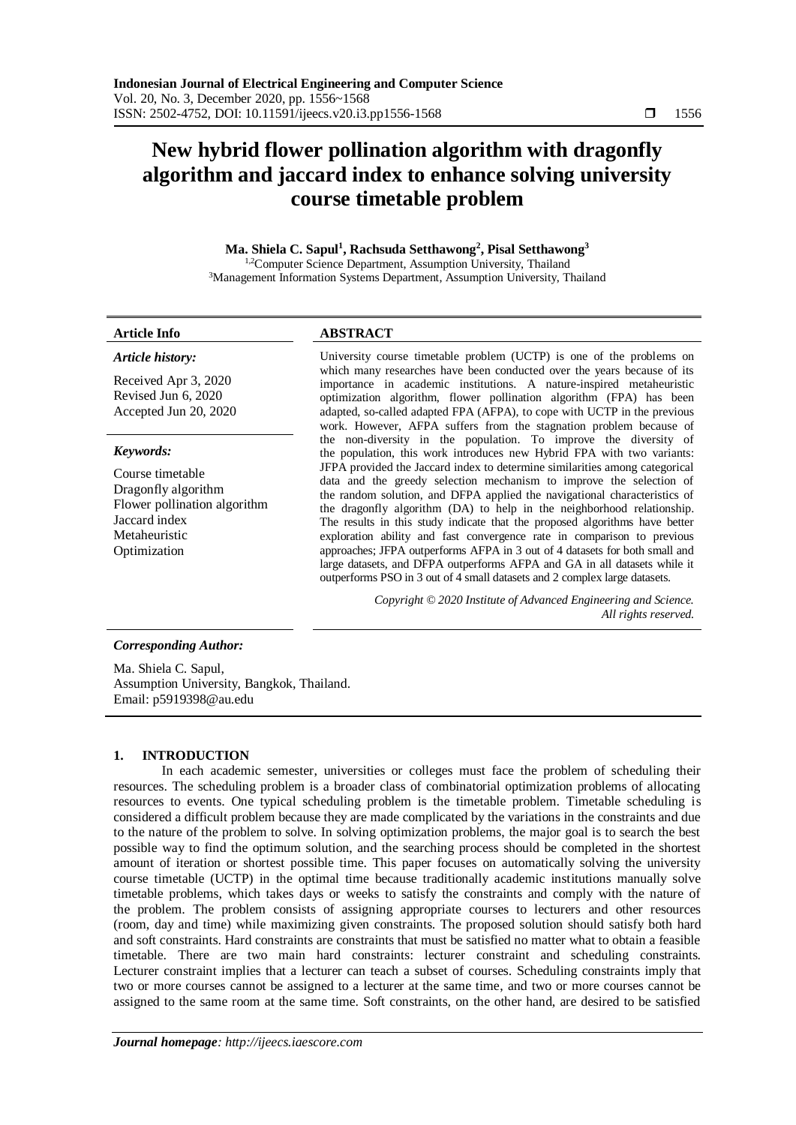# **New hybrid flower pollination algorithm with dragonfly algorithm and jaccard index to enhance solving university course timetable problem**

# **Ma. Shiela C. Sapul<sup>1</sup> , Rachsuda Setthawong<sup>2</sup> , Pisal Setthawong<sup>3</sup>**

1,2Computer Science Department, Assumption University, Thailand <sup>3</sup>Management Information Systems Department, Assumption University, Thailand

# **Article Info ABSTRACT**

*Article history:*

Received Apr 3, 2020 Revised Jun 6, 2020 Accepted Jun 20, 2020

# *Keywords:*

Course timetable Dragonfly algorithm Flower pollination algorithm Jaccard index Metaheuristic Optimization

University course timetable problem (UCTP) is one of the problems on which many researches have been conducted over the years because of its importance in academic institutions. A nature-inspired metaheuristic optimization algorithm, flower pollination algorithm (FPA) has been adapted, so-called adapted FPA (AFPA), to cope with UCTP in the previous work. However, AFPA suffers from the stagnation problem because of the non-diversity in the population. To improve the diversity of the population, this work introduces new Hybrid FPA with two variants: JFPA provided the Jaccard index to determine similarities among categorical data and the greedy selection mechanism to improve the selection of the random solution, and DFPA applied the navigational characteristics of the dragonfly algorithm (DA) to help in the neighborhood relationship. The results in this study indicate that the proposed algorithms have better exploration ability and fast convergence rate in comparison to previous approaches; JFPA outperforms AFPA in 3 out of 4 datasets for both small and large datasets, and DFPA outperforms AFPA and GA in all datasets while it outperforms PSO in 3 out of 4 small datasets and 2 complex large datasets.

> *Copyright © 2020 Institute of Advanced Engineering and Science. All rights reserved.*

# *Corresponding Author:*

Ma. Shiela C. Sapul, Assumption University, Bangkok, Thailand. Email: p5919398@au.edu

# **1. INTRODUCTION**

In each academic semester, universities or colleges must face the problem of scheduling their resources. The scheduling problem is a broader class of combinatorial optimization problems of allocating resources to events. One typical scheduling problem is the timetable problem. Timetable scheduling is considered a difficult problem because they are made complicated by the variations in the constraints and due to the nature of the problem to solve. In solving optimization problems, the major goal is to search the best possible way to find the optimum solution, and the searching process should be completed in the shortest amount of iteration or shortest possible time. This paper focuses on automatically solving the university course timetable (UCTP) in the optimal time because traditionally academic institutions manually solve timetable problems, which takes days or weeks to satisfy the constraints and comply with the nature of the problem. The problem consists of assigning appropriate courses to lecturers and other resources (room, day and time) while maximizing given constraints. The proposed solution should satisfy both hard and soft constraints. Hard constraints are constraints that must be satisfied no matter what to obtain a feasible timetable. There are two main hard constraints: lecturer constraint and scheduling constraints. Lecturer constraint implies that a lecturer can teach a subset of courses. Scheduling constraints imply that two or more courses cannot be assigned to a lecturer at the same time, and two or more courses cannot be assigned to the same room at the same time. Soft constraints, on the other hand, are desired to be satisfied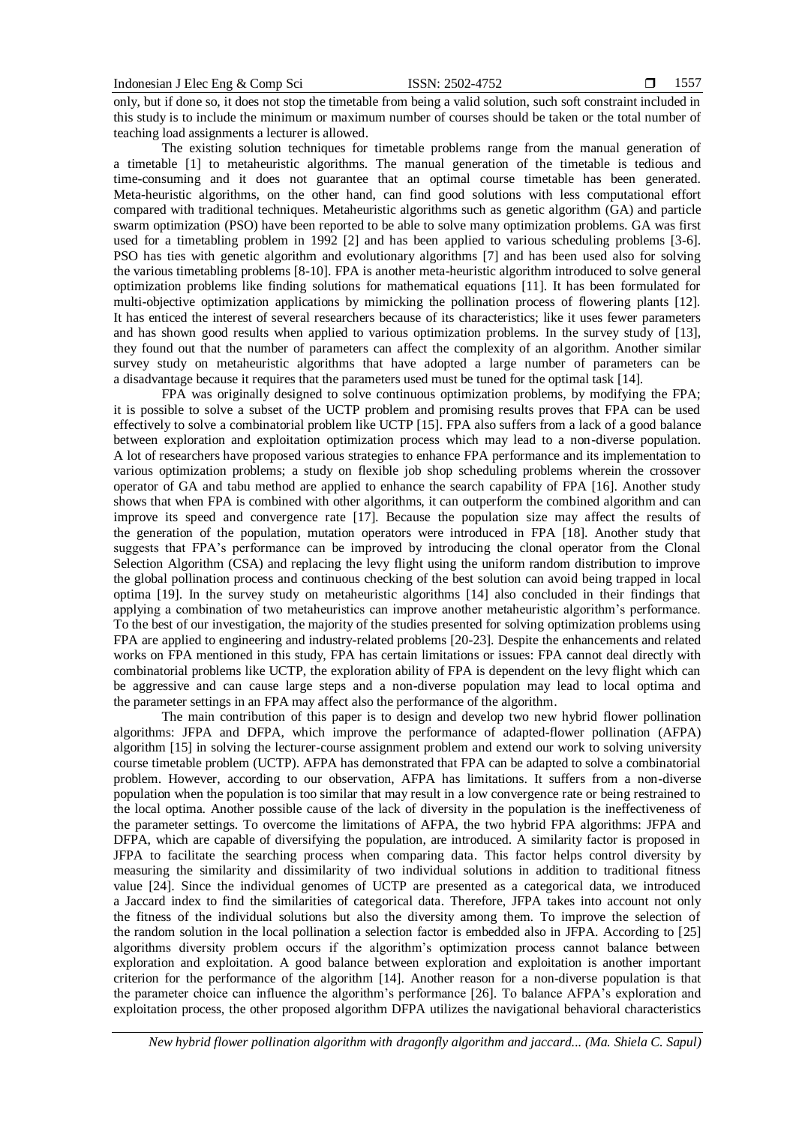only, but if done so, it does not stop the timetable from being a valid solution, such soft constraint included in this study is to include the minimum or maximum number of courses should be taken or the total number of teaching load assignments a lecturer is allowed.

The existing solution techniques for timetable problems range from the manual generation of a timetable [1] to metaheuristic algorithms. The manual generation of the timetable is tedious and time-consuming and it does not guarantee that an optimal course timetable has been generated. Meta-heuristic algorithms, on the other hand, can find good solutions with less computational effort compared with traditional techniques. Metaheuristic algorithms such as genetic algorithm (GA) and particle swarm optimization (PSO) have been reported to be able to solve many optimization problems. GA was first used for a timetabling problem in 1992 [2] and has been applied to various scheduling problems [3-6]. PSO has ties with genetic algorithm and evolutionary algorithms [7] and has been used also for solving the various timetabling problems [8-10]. FPA is another meta-heuristic algorithm introduced to solve general optimization problems like finding solutions for mathematical equations [11]. It has been formulated for multi-objective optimization applications by mimicking the pollination process of flowering plants [12]. It has enticed the interest of several researchers because of its characteristics; like it uses fewer parameters and has shown good results when applied to various optimization problems. In the survey study of [13], they found out that the number of parameters can affect the complexity of an algorithm. Another similar survey study on metaheuristic algorithms that have adopted a large number of parameters can be a disadvantage because it requires that the parameters used must be tuned for the optimal task [14].

FPA was originally designed to solve continuous optimization problems, by modifying the FPA; it is possible to solve a subset of the UCTP problem and promising results proves that FPA can be used effectively to solve a combinatorial problem like UCTP [15]. FPA also suffers from a lack of a good balance between exploration and exploitation optimization process which may lead to a non-diverse population. A lot of researchers have proposed various strategies to enhance FPA performance and its implementation to various optimization problems; a study on flexible job shop scheduling problems wherein the crossover operator of GA and tabu method are applied to enhance the search capability of FPA [16]. Another study shows that when FPA is combined with other algorithms, it can outperform the combined algorithm and can improve its speed and convergence rate [17]. Because the population size may affect the results of the generation of the population, mutation operators were introduced in FPA [18]. Another study that suggests that FPA's performance can be improved by introducing the clonal operator from the Clonal Selection Algorithm (CSA) and replacing the levy flight using the uniform random distribution to improve the global pollination process and continuous checking of the best solution can avoid being trapped in local optima [19]. In the survey study on metaheuristic algorithms [14] also concluded in their findings that applying a combination of two metaheuristics can improve another metaheuristic algorithm's performance. To the best of our investigation, the majority of the studies presented for solving optimization problems using FPA are applied to engineering and industry-related problems [20-23]. Despite the enhancements and related works on FPA mentioned in this study, FPA has certain limitations or issues: FPA cannot deal directly with combinatorial problems like UCTP, the exploration ability of FPA is dependent on the levy flight which can be aggressive and can cause large steps and a non-diverse population may lead to local optima and the parameter settings in an FPA may affect also the performance of the algorithm.

The main contribution of this paper is to design and develop two new hybrid flower pollination algorithms: JFPA and DFPA, which improve the performance of adapted-flower pollination (AFPA) algorithm [15] in solving the lecturer-course assignment problem and extend our work to solving university course timetable problem (UCTP). AFPA has demonstrated that FPA can be adapted to solve a combinatorial problem. However, according to our observation, AFPA has limitations. It suffers from a non-diverse population when the population is too similar that may result in a low convergence rate or being restrained to the local optima. Another possible cause of the lack of diversity in the population is the ineffectiveness of the parameter settings. To overcome the limitations of AFPA, the two hybrid FPA algorithms: JFPA and DFPA, which are capable of diversifying the population, are introduced. A similarity factor is proposed in JFPA to facilitate the searching process when comparing data. This factor helps control diversity by measuring the similarity and dissimilarity of two individual solutions in addition to traditional fitness value [24]. Since the individual genomes of UCTP are presented as a categorical data, we introduced a Jaccard index to find the similarities of categorical data. Therefore, JFPA takes into account not only the fitness of the individual solutions but also the diversity among them. To improve the selection of the random solution in the local pollination a selection factor is embedded also in JFPA. According to [25] algorithms diversity problem occurs if the algorithm's optimization process cannot balance between exploration and exploitation. A good balance between exploration and exploitation is another important criterion for the performance of the algorithm [14]. Another reason for a non-diverse population is that the parameter choice can influence the algorithm's performance [26]. To balance AFPA's exploration and exploitation process, the other proposed algorithm DFPA utilizes the navigational behavioral characteristics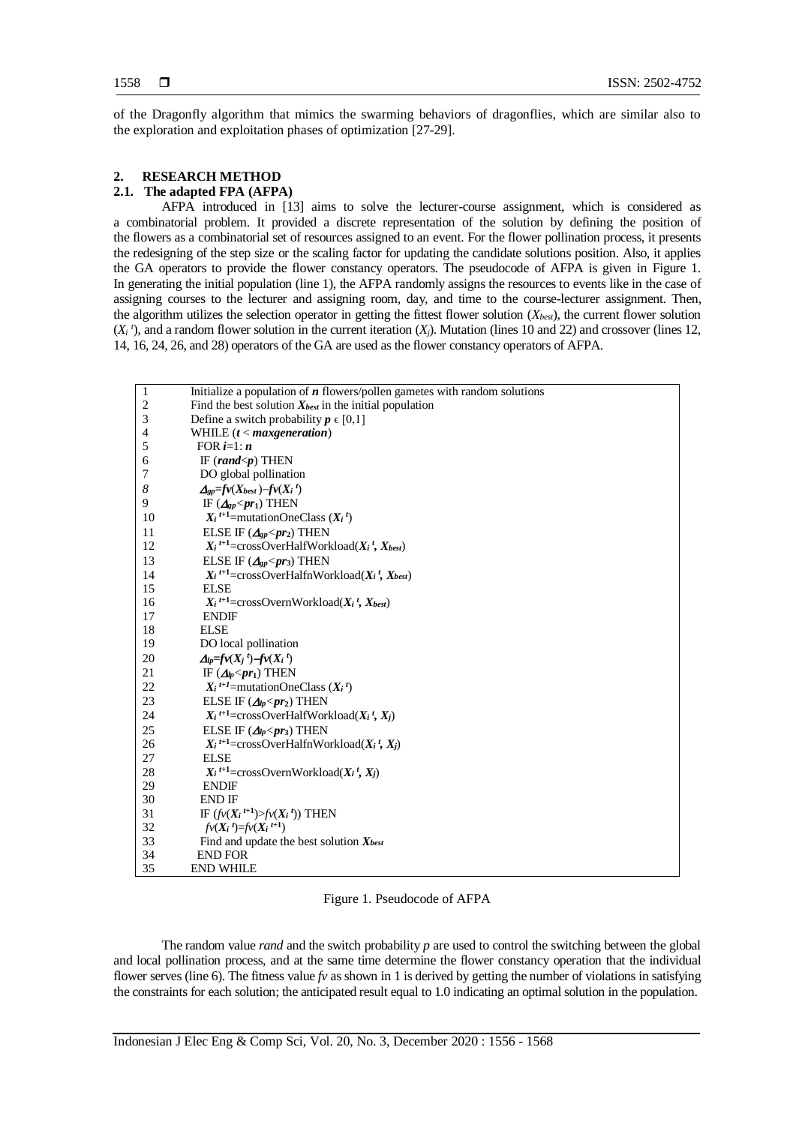of the Dragonfly algorithm that mimics the swarming behaviors of dragonflies, which are similar also to the exploration and exploitation phases of optimization [27-29].

# **2. RESEARCH METHOD**

# **2.1. The adapted FPA (AFPA)**

AFPA introduced in [13] aims to solve the lecturer-course assignment, which is considered as a combinatorial problem. It provided a discrete representation of the solution by defining the position of the flowers as a combinatorial set of resources assigned to an event. For the flower pollination process, it presents the redesigning of the step size or the scaling factor for updating the candidate solutions position. Also, it applies the GA operators to provide the flower constancy operators. The pseudocode of AFPA is given in Figure 1. In generating the initial population (line 1), the AFPA randomly assigns the resources to events like in the case of assigning courses to the lecturer and assigning room, day, and time to the course-lecturer assignment. Then, the algorithm utilizes the selection operator in getting the fittest flower solution  $(X_{best})$ , the current flower solution  $(X<sub>i</sub>')$ , and a random flower solution in the current iteration  $(X<sub>j</sub>)$ . Mutation (lines 10 and 22) and crossover (lines 12, 14, 16, 24, 26, and 28) operators of the GA are used as the flower constancy operators of AFPA.

| $\mathbf{1}$ | Initialize a population of $n$ flowers/pollen gametes with random solutions     |
|--------------|---------------------------------------------------------------------------------|
| 2            | Find the best solution $X_{best}$ in the initial population                     |
| 3            | Define a switch probability $p \in [0,1]$                                       |
| 4            | WHILE $(t < m$ axgeneration)                                                    |
| 5            | FOR $i=1:n$                                                                     |
| 6            | IF $(rand \leq p)$ THEN                                                         |
| 7            | DO global pollination                                                           |
| 8            | $\Delta_{gp} = f \nu(X_{best}) - f \nu(X_i)$                                    |
| 9            | IF $(\Delta_{qp}< pr_1)$ THEN                                                   |
| 10           | $X_i$ <sup>t+1</sup> =mutationOneClass $(X_i^t)$                                |
| 11           | ELSE IF $(\mathcal{A}_{gp}$ <pr2) td="" then<=""></pr2)>                        |
| 12           | $X_i$ <sup>t+1</sup> =crossOverHalfWorkload( $X_i$ <sup>t</sup> , $X_{best}$ )  |
| 13           | ELSE IF $(\mathcal{A}_{gp}$ <pr3) td="" then<=""></pr3)>                        |
| 14           | $X_i$ <sup>t+1</sup> =crossOverHalfnWorkload( $X_i$ <sup>t</sup> , $X_{best}$ ) |
| 15           | <b>ELSE</b>                                                                     |
| 16           | $X_i$ <sup>t+1</sup> =crossOvernWorkload( $X_i$ <sup>t</sup> , $X_{best}$ )     |
| 17           | <b>ENDIF</b>                                                                    |
| 18           | <b>ELSE</b>                                                                     |
| 19           | DO local pollination                                                            |
| 20           | $\Delta_{lp} = f \nu(X_i^t) - f \nu(X_i^t)$                                     |
| 21           | IF $(\Delta_p < pr_1)$ THEN                                                     |
| 22           | $X_i$ <sup>t+1</sup> =mutationOneClass $(X_i^t)$                                |
| 23           | ELSE IF $(\Delta_p < pr_2)$ THEN                                                |
| 24           | $X_i$ <sup>t+1</sup> =crossOverHalfWorkload( $X_i$ <sup>t</sup> , $X_j$ )       |
| 25           | ELSE IF $(\Delta_p < pr_3)$ THEN                                                |
| 26           | $X_i$ <sup>t+1</sup> =crossOverHalfnWorkload( $X_i$ <sup>t</sup> , $X_j$ )      |
| 27           | <b>ELSE</b>                                                                     |
| 28           | $X_i$ <sup>t+1</sup> =crossOvernWorkload( $X_i$ <sup>t</sup> , $X_j$ )          |
| 29           | <b>ENDIF</b>                                                                    |
| 30           | END IF                                                                          |
| 31           | IF $(fv(X_i t+1) > fv(X_i t))$ THEN                                             |
| 32           | $f_V(X_i^t) = f_V(X_i^{t+1})$                                                   |
| 33           | Find and update the best solution $X_{best}$                                    |
| 34           | <b>END FOR</b>                                                                  |
| 35           | <b>END WHILE</b>                                                                |

#### Figure 1. Pseudocode of AFPA

The random value *rand* and the switch probability *p* are used to control the switching between the global and local pollination process, and at the same time determine the flower constancy operation that the individual flower serves (line 6). The fitness value  $fv$  as shown in 1 is derived by getting the number of violations in satisfying the constraints for each solution; the anticipated result equal to 1.0 indicating an optimal solution in the population.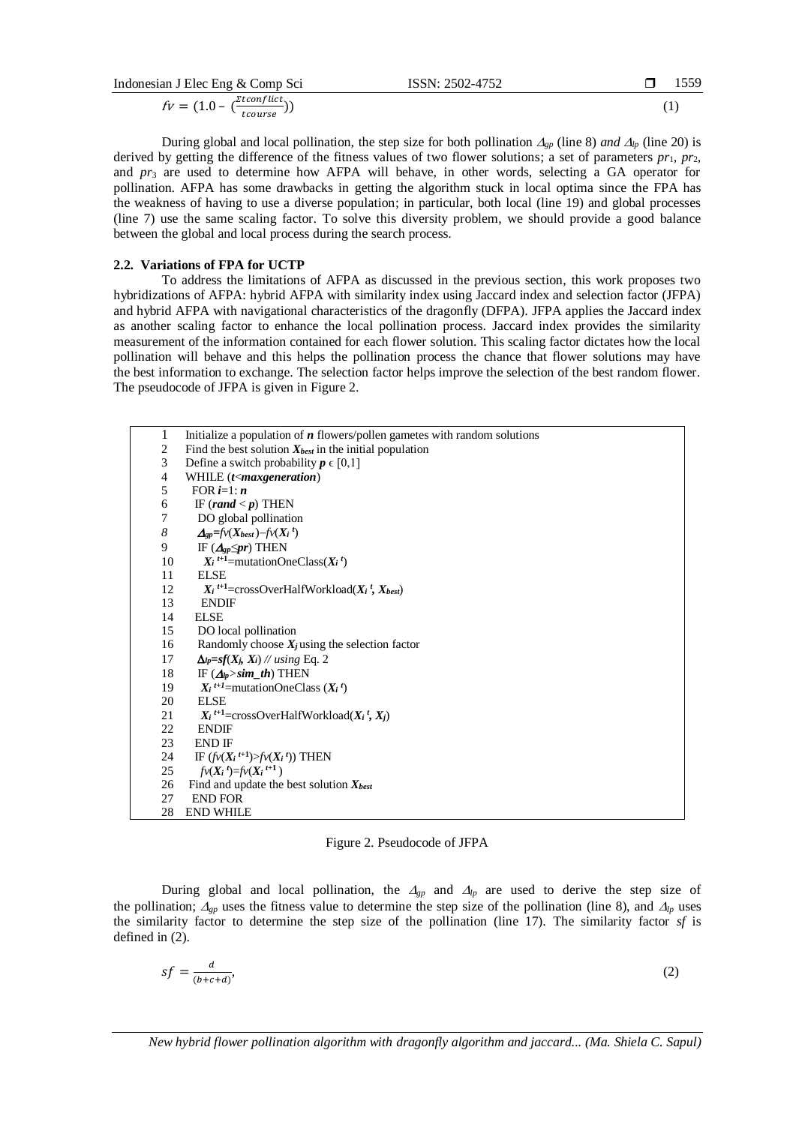| Indonesian J Elec Eng & Comp Sci                      | ISSN: 2502-4752 | 1559 |
|-------------------------------------------------------|-----------------|------|
| $f_V = (1.0 - (\frac{Section filter}{1}))$<br>tcourse |                 |      |

During global and local pollination, the step size for both pollination  $A_{\epsilon p}$  (line 8) *and*  $A_{\epsilon p}$  (line 20) is derived by getting the difference of the fitness values of two flower solutions; a set of parameters  $pr_1$ ,  $pr_2$ , and *pr*<sup>3</sup> are used to determine how AFPA will behave, in other words, selecting a GA operator for pollination. AFPA has some drawbacks in getting the algorithm stuck in local optima since the FPA has the weakness of having to use a diverse population; in particular, both local (line 19) and global processes (line 7) use the same scaling factor. To solve this diversity problem, we should provide a good balance between the global and local process during the search process.

### **2.2. Variations of FPA for UCTP**

To address the limitations of AFPA as discussed in the previous section, this work proposes two hybridizations of AFPA: hybrid AFPA with similarity index using Jaccard index and selection factor (JFPA) and hybrid AFPA with navigational characteristics of the dragonfly (DFPA). JFPA applies the Jaccard index as another scaling factor to enhance the local pollination process. Jaccard index provides the similarity measurement of the information contained for each flower solution. This scaling factor dictates how the local pollination will behave and this helps the pollination process the chance that flower solutions may have the best information to exchange. The selection factor helps improve the selection of the best random flower. The pseudocode of JFPA is given in Figure 2.

| 1<br>Initialize a population of $n$ flowers/pollen gametes with random solutions<br>Find the best solution $X_{best}$ in the initial population<br>2<br>3<br>Define a switch probability $p \in [0,1]$<br>WHILE (t <maxgeneration)<br><math>\overline{4}</math><br/>5<br/>FOR <math>i=1:n</math><br/>IF <math>(rand &lt; p)</math> THEN<br/>6<br/>7<br/>DO global pollination<br/>8<br/><math>\Delta_{gp} = f \nu(X_{best}) - f \nu(X_i)^t</math><br/>9<br/>IF <math>(A_{gp} \leq pr)</math> THEN<br/><math>X_i</math><sup>t+1</sup>=mutationOneClass(<math>X_i</math><sup>t</sup>)<br/>10<br/>11<br/><b>ELSE</b><br/><math>X_i</math><sup>t+1</sup>=crossOverHalfWorkload(<math>X_i</math><sup>t</sup>, <math>X_{best}</math>)<br/>12<br/>13<br/><b>ENDIF</b><br/>14<br/><b>ELSE</b><br/>DO local pollination<br/>15<br/>Randomly choose <math>X_j</math> using the selection factor<br/>16<br/><math>\Delta_{lp} = sf(X_j, X_i)</math> // using Eq. 2<br/>17<br/>IF <math>(\Delta_p &gt; sim_t h)</math> THEN<br/>18<br/><math>X_i</math><sup>t+1</sup>=mutationOneClass <math>(X_i)</math><sup>t</sup>)<br/>19<br/>20<br/><b>ELSE</b><br/><math>X_i</math><sup>t+1</sup>=crossOverHalfWorkload(<math>X_i</math><sup>t</sup>, <math>X_i</math>)<br/>21<br/>22<br/><b>ENDIF</b><br/>23<br/><b>END IF</b><br/>IF <math>(fv(X_i t^{+1})&gt;fv(X_i t))</math> THEN<br/>24<br/><math>fv(X_i^t) = fv(X_i^{t+1})</math><br/>25<br/>Find and update the best solution <math>X_{best}</math><br/>26<br/>27<br/><b>END FOR</b><br/><b>END WHILE</b><br/>28</maxgeneration)<br> |  |  |
|------------------------------------------------------------------------------------------------------------------------------------------------------------------------------------------------------------------------------------------------------------------------------------------------------------------------------------------------------------------------------------------------------------------------------------------------------------------------------------------------------------------------------------------------------------------------------------------------------------------------------------------------------------------------------------------------------------------------------------------------------------------------------------------------------------------------------------------------------------------------------------------------------------------------------------------------------------------------------------------------------------------------------------------------------------------------------------------------------------------------------------------------------------------------------------------------------------------------------------------------------------------------------------------------------------------------------------------------------------------------------------------------------------------------------------------------------------------------------------------------------------------------------------------------------------------------|--|--|
|                                                                                                                                                                                                                                                                                                                                                                                                                                                                                                                                                                                                                                                                                                                                                                                                                                                                                                                                                                                                                                                                                                                                                                                                                                                                                                                                                                                                                                                                                                                                                                        |  |  |
|                                                                                                                                                                                                                                                                                                                                                                                                                                                                                                                                                                                                                                                                                                                                                                                                                                                                                                                                                                                                                                                                                                                                                                                                                                                                                                                                                                                                                                                                                                                                                                        |  |  |
|                                                                                                                                                                                                                                                                                                                                                                                                                                                                                                                                                                                                                                                                                                                                                                                                                                                                                                                                                                                                                                                                                                                                                                                                                                                                                                                                                                                                                                                                                                                                                                        |  |  |
|                                                                                                                                                                                                                                                                                                                                                                                                                                                                                                                                                                                                                                                                                                                                                                                                                                                                                                                                                                                                                                                                                                                                                                                                                                                                                                                                                                                                                                                                                                                                                                        |  |  |
|                                                                                                                                                                                                                                                                                                                                                                                                                                                                                                                                                                                                                                                                                                                                                                                                                                                                                                                                                                                                                                                                                                                                                                                                                                                                                                                                                                                                                                                                                                                                                                        |  |  |
|                                                                                                                                                                                                                                                                                                                                                                                                                                                                                                                                                                                                                                                                                                                                                                                                                                                                                                                                                                                                                                                                                                                                                                                                                                                                                                                                                                                                                                                                                                                                                                        |  |  |
|                                                                                                                                                                                                                                                                                                                                                                                                                                                                                                                                                                                                                                                                                                                                                                                                                                                                                                                                                                                                                                                                                                                                                                                                                                                                                                                                                                                                                                                                                                                                                                        |  |  |
|                                                                                                                                                                                                                                                                                                                                                                                                                                                                                                                                                                                                                                                                                                                                                                                                                                                                                                                                                                                                                                                                                                                                                                                                                                                                                                                                                                                                                                                                                                                                                                        |  |  |
|                                                                                                                                                                                                                                                                                                                                                                                                                                                                                                                                                                                                                                                                                                                                                                                                                                                                                                                                                                                                                                                                                                                                                                                                                                                                                                                                                                                                                                                                                                                                                                        |  |  |
|                                                                                                                                                                                                                                                                                                                                                                                                                                                                                                                                                                                                                                                                                                                                                                                                                                                                                                                                                                                                                                                                                                                                                                                                                                                                                                                                                                                                                                                                                                                                                                        |  |  |
|                                                                                                                                                                                                                                                                                                                                                                                                                                                                                                                                                                                                                                                                                                                                                                                                                                                                                                                                                                                                                                                                                                                                                                                                                                                                                                                                                                                                                                                                                                                                                                        |  |  |
|                                                                                                                                                                                                                                                                                                                                                                                                                                                                                                                                                                                                                                                                                                                                                                                                                                                                                                                                                                                                                                                                                                                                                                                                                                                                                                                                                                                                                                                                                                                                                                        |  |  |
|                                                                                                                                                                                                                                                                                                                                                                                                                                                                                                                                                                                                                                                                                                                                                                                                                                                                                                                                                                                                                                                                                                                                                                                                                                                                                                                                                                                                                                                                                                                                                                        |  |  |
|                                                                                                                                                                                                                                                                                                                                                                                                                                                                                                                                                                                                                                                                                                                                                                                                                                                                                                                                                                                                                                                                                                                                                                                                                                                                                                                                                                                                                                                                                                                                                                        |  |  |
|                                                                                                                                                                                                                                                                                                                                                                                                                                                                                                                                                                                                                                                                                                                                                                                                                                                                                                                                                                                                                                                                                                                                                                                                                                                                                                                                                                                                                                                                                                                                                                        |  |  |
|                                                                                                                                                                                                                                                                                                                                                                                                                                                                                                                                                                                                                                                                                                                                                                                                                                                                                                                                                                                                                                                                                                                                                                                                                                                                                                                                                                                                                                                                                                                                                                        |  |  |
|                                                                                                                                                                                                                                                                                                                                                                                                                                                                                                                                                                                                                                                                                                                                                                                                                                                                                                                                                                                                                                                                                                                                                                                                                                                                                                                                                                                                                                                                                                                                                                        |  |  |
|                                                                                                                                                                                                                                                                                                                                                                                                                                                                                                                                                                                                                                                                                                                                                                                                                                                                                                                                                                                                                                                                                                                                                                                                                                                                                                                                                                                                                                                                                                                                                                        |  |  |
|                                                                                                                                                                                                                                                                                                                                                                                                                                                                                                                                                                                                                                                                                                                                                                                                                                                                                                                                                                                                                                                                                                                                                                                                                                                                                                                                                                                                                                                                                                                                                                        |  |  |
|                                                                                                                                                                                                                                                                                                                                                                                                                                                                                                                                                                                                                                                                                                                                                                                                                                                                                                                                                                                                                                                                                                                                                                                                                                                                                                                                                                                                                                                                                                                                                                        |  |  |
|                                                                                                                                                                                                                                                                                                                                                                                                                                                                                                                                                                                                                                                                                                                                                                                                                                                                                                                                                                                                                                                                                                                                                                                                                                                                                                                                                                                                                                                                                                                                                                        |  |  |
|                                                                                                                                                                                                                                                                                                                                                                                                                                                                                                                                                                                                                                                                                                                                                                                                                                                                                                                                                                                                                                                                                                                                                                                                                                                                                                                                                                                                                                                                                                                                                                        |  |  |
|                                                                                                                                                                                                                                                                                                                                                                                                                                                                                                                                                                                                                                                                                                                                                                                                                                                                                                                                                                                                                                                                                                                                                                                                                                                                                                                                                                                                                                                                                                                                                                        |  |  |
|                                                                                                                                                                                                                                                                                                                                                                                                                                                                                                                                                                                                                                                                                                                                                                                                                                                                                                                                                                                                                                                                                                                                                                                                                                                                                                                                                                                                                                                                                                                                                                        |  |  |
|                                                                                                                                                                                                                                                                                                                                                                                                                                                                                                                                                                                                                                                                                                                                                                                                                                                                                                                                                                                                                                                                                                                                                                                                                                                                                                                                                                                                                                                                                                                                                                        |  |  |
|                                                                                                                                                                                                                                                                                                                                                                                                                                                                                                                                                                                                                                                                                                                                                                                                                                                                                                                                                                                                                                                                                                                                                                                                                                                                                                                                                                                                                                                                                                                                                                        |  |  |
|                                                                                                                                                                                                                                                                                                                                                                                                                                                                                                                                                                                                                                                                                                                                                                                                                                                                                                                                                                                                                                                                                                                                                                                                                                                                                                                                                                                                                                                                                                                                                                        |  |  |
|                                                                                                                                                                                                                                                                                                                                                                                                                                                                                                                                                                                                                                                                                                                                                                                                                                                                                                                                                                                                                                                                                                                                                                                                                                                                                                                                                                                                                                                                                                                                                                        |  |  |

#### Figure 2. Pseudocode of JFPA

During global and local pollination, the  $A_{gp}$  and  $A_p$  are used to derive the step size of the pollination;  $\Delta_{gp}$  uses the fitness value to determine the step size of the pollination (line 8), and  $\Delta_{lp}$  uses the similarity factor to determine the step size of the pollination (line 17). The similarity factor *sf* is defined in (2).

$$
sf = \frac{d}{(b+c+d)},\tag{2}
$$

*New hybrid flower pollination algorithm with dragonfly algorithm and jaccard... (Ma. Shiela C. Sapul)*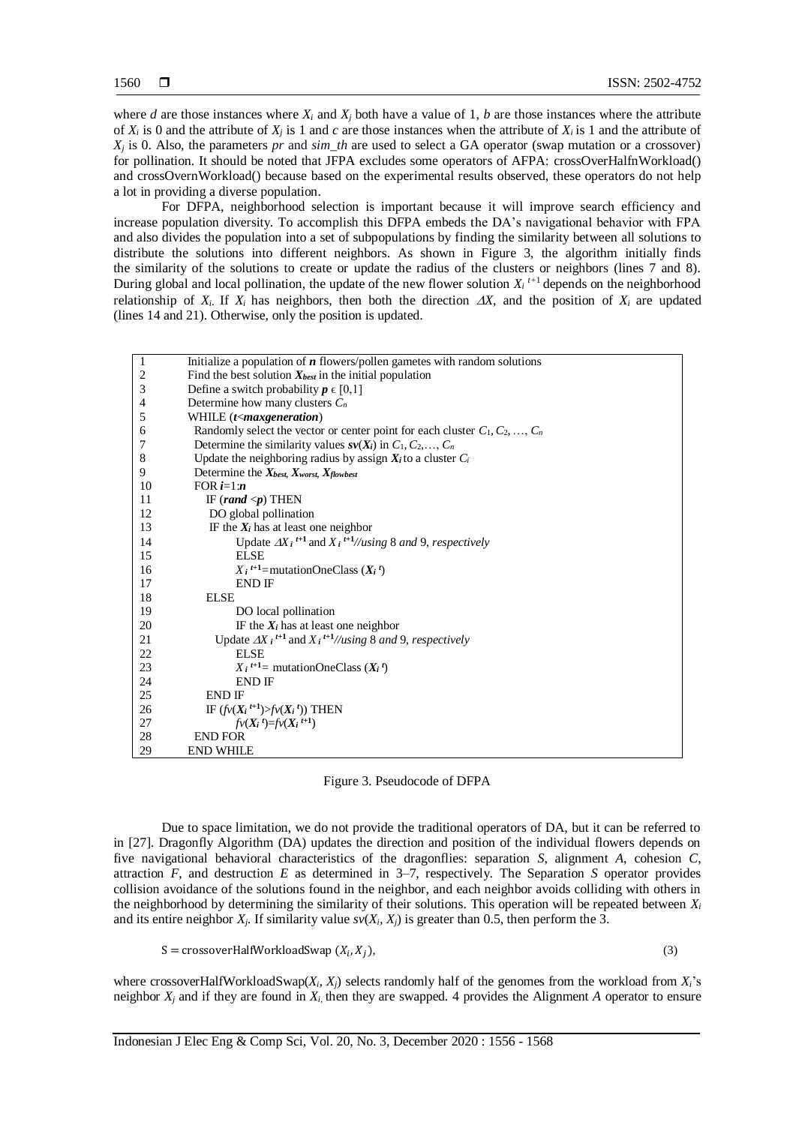where *d* are those instances where  $X_i$  and  $X_i$  both have a value of 1, *b* are those instances where the attribute of  $X_i$  is 0 and the attribute of  $X_i$  is 1 and *c* are those instances when the attribute of  $X_i$  is 1 and the attribute of  $X_i$  is 0. Also, the parameters *pr* and *sim* th are used to select a GA operator (swap mutation or a crossover) for pollination. It should be noted that JFPA excludes some operators of AFPA: crossOverHalfnWorkload() and crossOvernWorkload() because based on the experimental results observed, these operators do not help a lot in providing a diverse population.

For DFPA, neighborhood selection is important because it will improve search efficiency and increase population diversity. To accomplish this DFPA embeds the DA's navigational behavior with FPA and also divides the population into a set of subpopulations by finding the similarity between all solutions to distribute the solutions into different neighbors. As shown in Figure 3, the algorithm initially finds the similarity of the solutions to create or update the radius of the clusters or neighbors (lines 7 and 8). During global and local pollination, the update of the new flower solution  $X_i$ <sup> $t+1$ </sup> depends on the neighborhood relationship of  $X_i$ . If  $X_i$  has neighbors, then both the direction  $\Delta X$ , and the position of  $X_i$  are updated (lines 14 and 21). Otherwise, only the position is updated.

| $\mathbf{1}$ | Initialize a population of $n$ flowers/pollen gametes with random solutions               |
|--------------|-------------------------------------------------------------------------------------------|
| 2            | Find the best solution $X_{best}$ in the initial population                               |
| 3            | Define a switch probability $p \in [0,1]$                                                 |
| 4            | Determine how many clusters $C_n$                                                         |
| 5            | WHILE (t <maxgeneration)< td=""></maxgeneration)<>                                        |
| 6            | Randomly select the vector or center point for each cluster $C_1, C_2, , C_n$             |
| 7            | Determine the similarity values $s\nu(X_i)$ in $C_1, C_2, , C_n$                          |
| 8            | Update the neighboring radius by assign $X_i$ to a cluster $C_i$                          |
| 9            | Determine the $X_{best}$ , $X_{worst}$ , $X_{flowbest}$                                   |
| 10           | FOR $i=1:n$                                                                               |
| 11           | IF (rand $\langle p \rangle$ THEN                                                         |
| 12           | DO global pollination                                                                     |
| 13           | IF the $X_i$ has at least one neighbor                                                    |
| 14           | Update $\Delta X_i$ <sup>t+1</sup> and $X_i$ <sup>t+1</sup> //using 8 and 9, respectively |
| 15           | <b>ELSE</b>                                                                               |
| 16           | $X_i$ <sup>t+1</sup> =mutationOneClass $(X_i)$ <sup>t</sup> )                             |
| 17           | <b>END IF</b>                                                                             |
| 18           | <b>ELSE</b>                                                                               |
| 19           | DO local pollination                                                                      |
| 20           | IF the $X_i$ has at least one neighbor                                                    |
| 21           | Update $\Delta X_i$ <sup>t+1</sup> and $X_i$ <sup>t+1</sup> //using 8 and 9, respectively |
| 22           | <b>ELSE</b>                                                                               |
| 23           | $X_i$ <sup>t+1</sup> = mutationOneClass $(X_i^t)$                                         |
| 24           | <b>END IF</b>                                                                             |
| 25           | <b>END IF</b>                                                                             |
| 26           | IF $(fv(X_i t+1) > fv(X_i t))$ THEN                                                       |
| 27           | $f_V(X_i^t) = f_V(X_i^{t+1})$                                                             |
| 28           | <b>END FOR</b>                                                                            |
| 29           | <b>END WHILE</b>                                                                          |

Figure 3. Pseudocode of DFPA

Due to space limitation, we do not provide the traditional operators of DA, but it can be referred to in [27]. Dragonfly Algorithm (DA) updates the direction and position of the individual flowers depends on five navigational behavioral characteristics of the dragonflies: separation *S*, alignment *A*, cohesion *C*, attraction *F*, and destruction *E* as determined in 3–7, respectively. The Separation *S* operator provides collision avoidance of the solutions found in the neighbor, and each neighbor avoids colliding with others in the neighborhood by determining the similarity of their solutions. This operation will be repeated between  $X_i$ and its entire neighbor  $X_i$ . If similarity value  $s\nu(X_i, X_j)$  is greater than 0.5, then perform the 3.

S = crossoverHalfWorkloadSwap ( $X_i, X_j$ 

 $),$  (3)

where crossoverHalfWorkloadSwap( $X_i$ ,  $X_i$ ) selects randomly half of the genomes from the workload from  $X_i$ 's neighbor  $X_i$  and if they are found in  $X_i$ , then they are swapped. 4 provides the Alignment *A* operator to ensure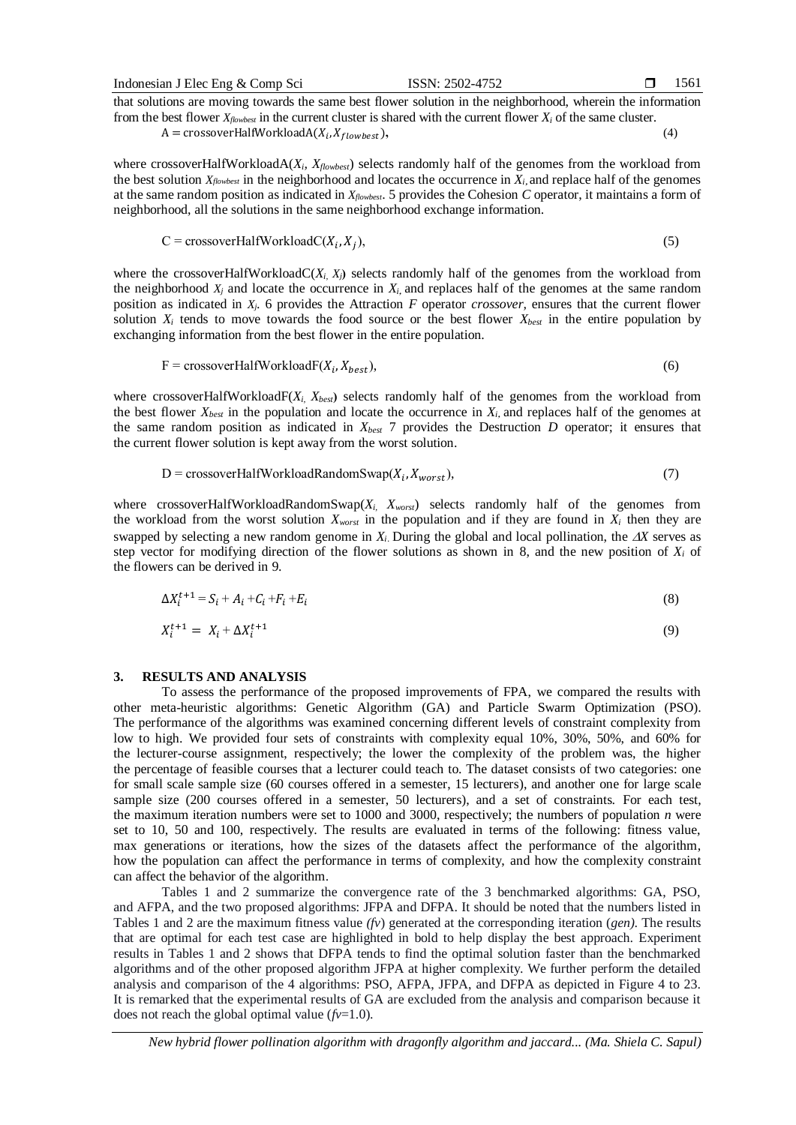| Indonesian J Elec Eng & Comp Sci                                                                                                                                                                                              | ISSN: 2502-4752 | $\Box$ 1561 |
|-------------------------------------------------------------------------------------------------------------------------------------------------------------------------------------------------------------------------------|-----------------|-------------|
| $A$ , and the state and the state of the state of the state of the state of the state of the state of the state of the state of the state of the state of the state of the state of the state of the state of the state of th |                 |             |

that solutions are moving towards the same best flower solution in the neighborhood, wherein the information from the best flower  $X_{flowbest}$  in the current cluster is shared with the current flower  $X_i$  of the same cluster.

 $A = \text{crossoverHalfWorkloadA}(X_i, X_{flowbest})$ )**,** (4)

where crossoverHalfWorkloadA(*Xi, Xflowbest*) selects randomly half of the genomes from the workload from the best solution  $X_{\text{flowbest}}$  in the neighborhood and locates the occurrence in  $X_i$  and replace half of the genomes at the same random position as indicated in *Xflowbest*. 5 provides the Cohesion *C* operator, it maintains a form of neighborhood, all the solutions in the same neighborhood exchange information.

$$
C = \text{crossoverHalfWorkload}(X_i, X_j),\tag{5}
$$

where the crossoverHalfWorkloadC( $X_i$ ,  $\bar{X}_i$ ) selects randomly half of the genomes from the workload from the neighborhood  $X_i$  and locate the occurrence in  $X_i$  and replaces half of the genomes at the same random position as indicated in *Xj*. 6 provides the Attraction *F* operator *crossover,* ensures that the current flower solution  $X_i$  tends to move towards the food source or the best flower  $X_{best}$  in the entire population by exchanging information from the best flower in the entire population.

$$
F = \text{crossoverHalfWorkload}F(X_i, X_{best}),\tag{6}
$$

where crossoverHalfWorkloadF( $X_i$ ,  $X_{best}$ ) selects randomly half of the genomes from the workload from the best flower  $X_{best}$  in the population and locate the occurrence in  $X_i$  and replaces half of the genomes at the same random position as indicated in *Xbest* 7 provides the Destruction *D* operator; it ensures that the current flower solution is kept away from the worst solution.

$$
D = \text{crossoverHalfWorkloadRandomSwap}(X_i, X_{worst}),\tag{7}
$$

where crossoverHalfWorkloadRandomSwap(*Xi, Xworst*) selects randomly half of the genomes from the workload from the worst solution  $X_{worst}$  in the population and if they are found in  $X_i$  then they are swapped by selecting a new random genome in  $X_i$ . During the global and local pollination, the  $\Delta X$  serves as step vector for modifying direction of the flower solutions as shown in 8, and the new position of  $X_i$  of the flowers can be derived in 9.

$$
\Delta X_i^{t+1} = S_i + A_i + C_i + F_i + E_i \tag{8}
$$

$$
X_i^{t+1} = X_i + \Delta X_i^{t+1} \tag{9}
$$

### **3. RESULTS AND ANALYSIS**

To assess the performance of the proposed improvements of FPA, we compared the results with other meta-heuristic algorithms: Genetic Algorithm (GA) and Particle Swarm Optimization (PSO). The performance of the algorithms was examined concerning different levels of constraint complexity from low to high. We provided four sets of constraints with complexity equal 10%, 30%, 50%, and 60% for the lecturer-course assignment, respectively; the lower the complexity of the problem was, the higher the percentage of feasible courses that a lecturer could teach to. The dataset consists of two categories: one for small scale sample size (60 courses offered in a semester, 15 lecturers), and another one for large scale sample size (200 courses offered in a semester, 50 lecturers), and a set of constraints. For each test, the maximum iteration numbers were set to 1000 and 3000, respectively; the numbers of population *n* were set to 10, 50 and 100, respectively. The results are evaluated in terms of the following: fitness value, max generations or iterations, how the sizes of the datasets affect the performance of the algorithm, how the population can affect the performance in terms of complexity, and how the complexity constraint can affect the behavior of the algorithm.

Tables 1 and 2 summarize the convergence rate of the 3 benchmarked algorithms: GA, PSO, and AFPA, and the two proposed algorithms: JFPA and DFPA. It should be noted that the numbers listed in Tables 1 and 2 are the maximum fitness value *(fv*) generated at the corresponding iteration (*gen)*. The results that are optimal for each test case are highlighted in bold to help display the best approach. Experiment results in Tables 1 and 2 shows that DFPA tends to find the optimal solution faster than the benchmarked algorithms and of the other proposed algorithm JFPA at higher complexity. We further perform the detailed analysis and comparison of the 4 algorithms: PSO, AFPA, JFPA, and DFPA as depicted in Figure 4 to 23. It is remarked that the experimental results of GA are excluded from the analysis and comparison because it does not reach the global optimal value  $(r=1.0)$ .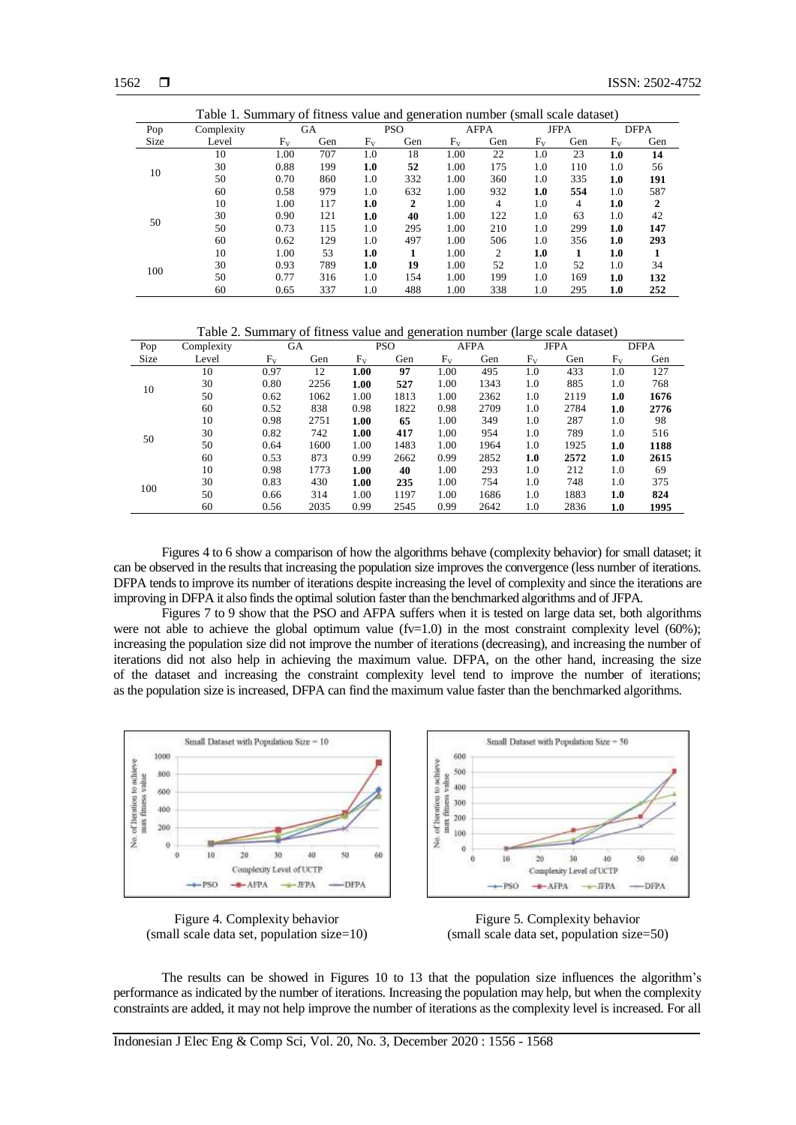| Table 1. Summary of fitness value and generation number (small scale dataset) |            |       |     |         |            |         |      |         |             |         |             |  |
|-------------------------------------------------------------------------------|------------|-------|-----|---------|------------|---------|------|---------|-------------|---------|-------------|--|
| Pop                                                                           | Complexity |       | GA  |         | <b>PSO</b> |         | AFPA |         | <b>JFPA</b> |         | <b>DFPA</b> |  |
| Size                                                                          | Level      | $F_V$ | Gen | $F_{V}$ | Gen        | $F_{V}$ | Gen  | $F_{V}$ | Gen         | $F_{V}$ | Gen         |  |
|                                                                               | 10         | 1.00  | 707 | 1.0     | 18         | 1.00    | 22   | 1.0     | 23          | 1.0     | 14          |  |
| 10                                                                            | 30         | 0.88  | 199 | 1.0     | 52         | 1.00    | 175  | 1.0     | 110         | 1.0     | 56          |  |
|                                                                               | 50         | 0.70  | 860 | 1.0     | 332        | 1.00    | 360  | 1.0     | 335         | 1.0     | 191         |  |
|                                                                               | 60         | 0.58  | 979 | 1.0     | 632        | 1.00    | 932  | 1.0     | 554         | 1.0     | 587         |  |
|                                                                               | 10         | 1.00  | 117 | 1.0     | 2          | 1.00    | 4    | 1.0     | 4           | 1.0     | 2           |  |
| 50                                                                            | 30         | 0.90  | 121 | 1.0     | 40         | 1.00    | 122  | 1.0     | 63          | 1.0     | 42          |  |
|                                                                               | 50         | 0.73  | 115 | 1.0     | 295        | 1.00    | 210  | 1.0     | 299         | 1.0     | 147         |  |
|                                                                               | 60         | 0.62  | 129 | 1.0     | 497        | 1.00    | 506  | 1.0     | 356         | 1.0     | 293         |  |
|                                                                               | 10         | 1.00  | 53  | 1.0     |            | 1.00    | 2    | 1.0     | 1           | 1.0     | 1           |  |
| 100                                                                           | 30         | 0.93  | 789 | 1.0     | 19         | 1.00    | 52   | 1.0     | 52          | 1.0     | 34          |  |
|                                                                               | 50         | 0.77  | 316 | 1.0     | 154        | 1.00    | 199  | 1.0     | 169         | 1.0     | 132         |  |
|                                                                               | 60         | 0.65  | 337 | 1.0     | 488        | 1.00    | 338  | 1.0     | 295         | 1.0     | 252         |  |

Table 2. Summary of fitness value and generation number (large scale dataset)

| Pop  | Complexity | <b>GA</b>   |      | o<br><b>PSO</b> |      | <b>AFPA</b> |      | o<br><b>JFPA</b> |      | <b>DFPA</b> |      |
|------|------------|-------------|------|-----------------|------|-------------|------|------------------|------|-------------|------|
| Size | Level      | $F_{\rm V}$ | Gen  | $F_V$           | Gen  | $F_V$       | Gen  | $F_V$            | Gen  | $F_{V}$     | Gen  |
| 10   | 10         | 0.97        | 12   | 1.00            | 97   | 1.00        | 495  | 1.0              | 433  | 1.0         | 127  |
|      | 30         | 0.80        | 2256 | 1.00            | 527  | 1.00        | 1343 | 1.0              | 885  | 1.0         | 768  |
|      | 50         | 0.62        | 1062 | 1.00            | 1813 | 1.00        | 2362 | 1.0              | 2119 | 1.0         | 1676 |
|      | 60         | 0.52        | 838  | 0.98            | 1822 | 0.98        | 2709 | 1.0              | 2784 | 1.0         | 2776 |
|      | 10         | 0.98        | 2751 | 1.00            | 65   | 1.00        | 349  | 1.0              | 287  | 1.0         | 98   |
| 50   | 30         | 0.82        | 742  | 1.00            | 417  | 1.00        | 954  | 1.0              | 789  | 1.0         | 516  |
|      | 50         | 0.64        | 1600 | 1.00            | 1483 | 1.00        | 1964 | 1.0              | 1925 | 1.0         | 1188 |
|      | 60         | 0.53        | 873  | 0.99            | 2662 | 0.99        | 2852 | 1.0              | 2572 | 1.0         | 2615 |
| 100  | 10         | 0.98        | 1773 | 1.00            | 40   | 1.00        | 293  | 1.0              | 212  | 1.0         | 69   |
|      | 30         | 0.83        | 430  | 1.00            | 235  | 1.00        | 754  | 1.0              | 748  | 1.0         | 375  |
|      | 50         | 0.66        | 314  | 1.00            | 1197 | 1.00        | 1686 | 1.0              | 1883 | 1.0         | 824  |
|      | 60         | 0.56        | 2035 | 0.99            | 2545 | 0.99        | 2642 | 1.0              | 2836 | 1.0         | 1995 |

Figures 4 to 6 show a comparison of how the algorithms behave (complexity behavior) for small dataset; it can be observed in the results that increasing the population size improves the convergence (less number of iterations. DFPA tends to improve its number of iterations despite increasing the level of complexity and since the iterations are improving in DFPA it also finds the optimal solution faster than the benchmarked algorithms and of JFPA.

Figures 7 to 9 show that the PSO and AFPA suffers when it is tested on large data set, both algorithms were not able to achieve the global optimum value  $(fv=1.0)$  in the most constraint complexity level (60%); increasing the population size did not improve the number of iterations (decreasing), and increasing the number of iterations did not also help in achieving the maximum value. DFPA, on the other hand, increasing the size of the dataset and increasing the constraint complexity level tend to improve the number of iterations; as the population size is increased, DFPA can find the maximum value faster than the benchmarked algorithms.



Figure 4. Complexity behavior (small scale data set, population size=10)



Figure 5. Complexity behavior (small scale data set, population size=50)

The results can be showed in Figures 10 to 13 that the population size influences the algorithm's performance as indicated by the number of iterations. Increasing the population may help, but when the complexity constraints are added, it may not help improve the number of iterations as the complexity level is increased. For all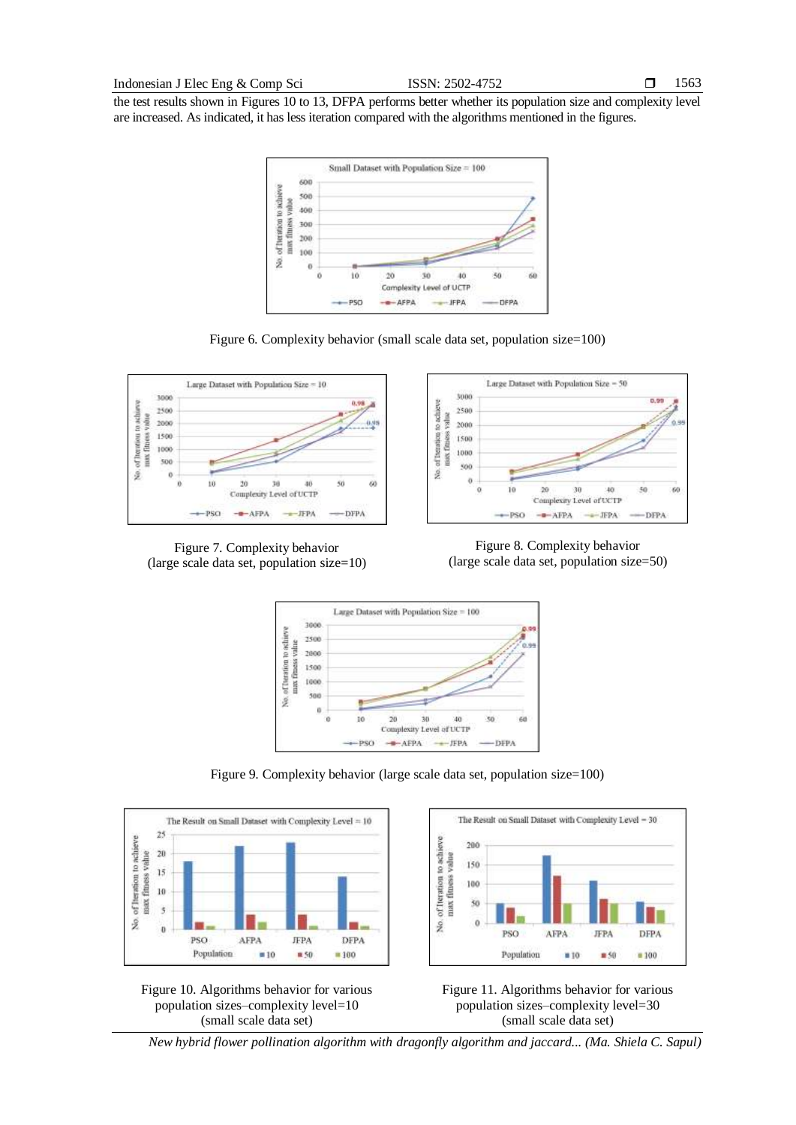1563

the test results shown in Figures 10 to 13, DFPA performs better whether its population size and complexity level are increased. As indicated, it has less iteration compared with the algorithms mentioned in the figures.







Figure 7. Complexity behavior (large scale data set, population size=10)



Figure 8. Complexity behavior (large scale data set, population size=50)



Figure 9. Complexity behavior (large scale data set, population size=100)



*New hybrid flower pollination algorithm with dragonfly algorithm and jaccard... (Ma. Shiela C. Sapul)*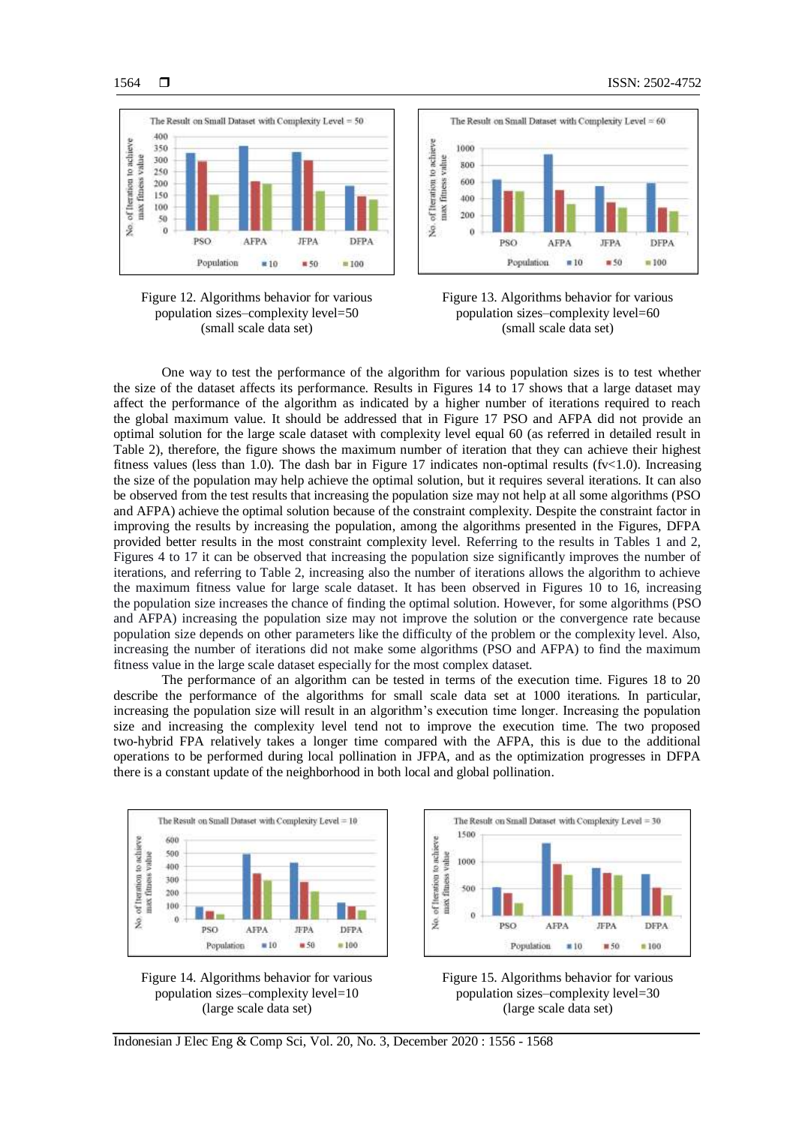

Figure 12. Algorithms behavior for various population sizes–complexity level=50 (small scale data set)





One way to test the performance of the algorithm for various population sizes is to test whether the size of the dataset affects its performance. Results in Figures 14 to 17 shows that a large dataset may affect the performance of the algorithm as indicated by a higher number of iterations required to reach the global maximum value. It should be addressed that in Figure 17 PSO and AFPA did not provide an optimal solution for the large scale dataset with complexity level equal 60 (as referred in detailed result in Table 2), therefore, the figure shows the maximum number of iteration that they can achieve their highest fitness values (less than 1.0). The dash bar in Figure 17 indicates non-optimal results (fv<1.0). Increasing the size of the population may help achieve the optimal solution, but it requires several iterations. It can also be observed from the test results that increasing the population size may not help at all some algorithms (PSO and AFPA) achieve the optimal solution because of the constraint complexity. Despite the constraint factor in improving the results by increasing the population, among the algorithms presented in the Figures, DFPA provided better results in the most constraint complexity level. Referring to the results in Tables 1 and 2, Figures 4 to 17 it can be observed that increasing the population size significantly improves the number of iterations, and referring to Table 2, increasing also the number of iterations allows the algorithm to achieve the maximum fitness value for large scale dataset. It has been observed in Figures 10 to 16, increasing the population size increases the chance of finding the optimal solution. However, for some algorithms (PSO and AFPA) increasing the population size may not improve the solution or the convergence rate because population size depends on other parameters like the difficulty of the problem or the complexity level. Also, increasing the number of iterations did not make some algorithms (PSO and AFPA) to find the maximum fitness value in the large scale dataset especially for the most complex dataset.

The performance of an algorithm can be tested in terms of the execution time. Figures 18 to 20 describe the performance of the algorithms for small scale data set at 1000 iterations. In particular, increasing the population size will result in an algorithm's execution time longer. Increasing the population size and increasing the complexity level tend not to improve the execution time. The two proposed two-hybrid FPA relatively takes a longer time compared with the AFPA, this is due to the additional operations to be performed during local pollination in JFPA, and as the optimization progresses in DFPA there is a constant update of the neighborhood in both local and global pollination.







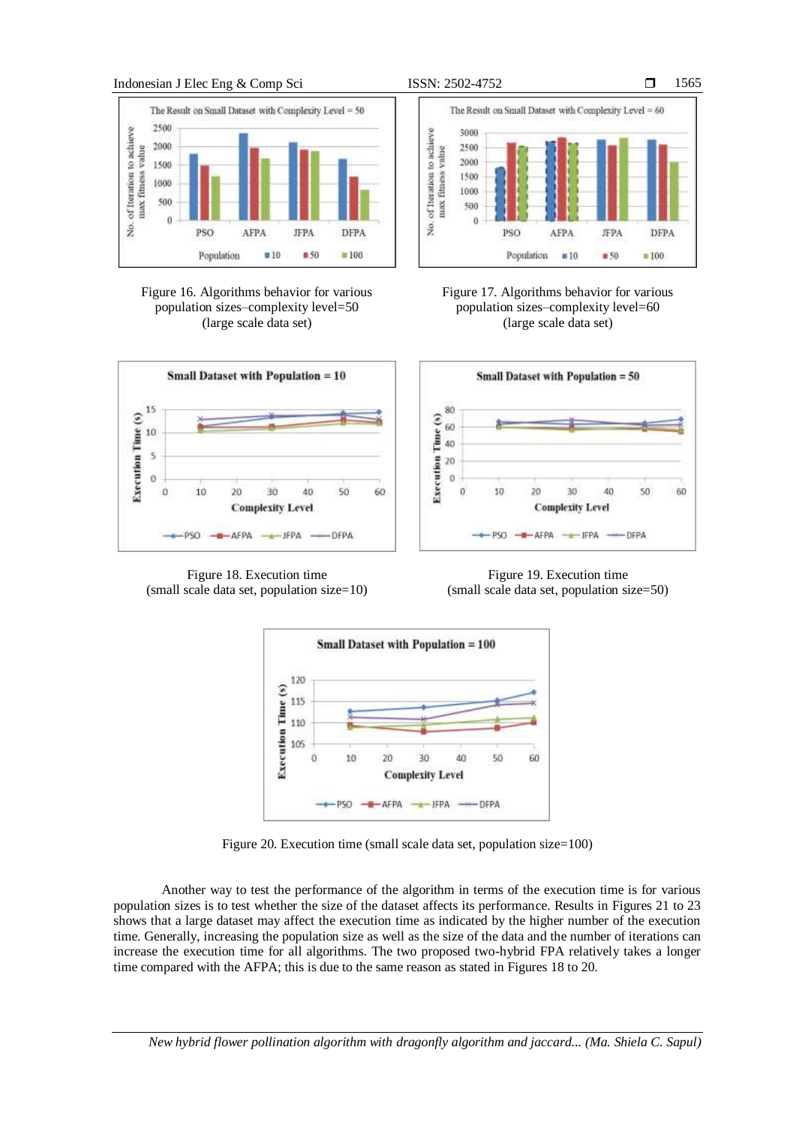

Figure 16. Algorithms behavior for various population sizes–complexity level=50 (large scale data set)



Figure 18. Execution time (small scale data set, population size=10)







Figure 19. Execution time (small scale data set, population size=50)



Figure 20. Execution time (small scale data set, population size=100)

Another way to test the performance of the algorithm in terms of the execution time is for various population sizes is to test whether the size of the dataset affects its performance. Results in Figures 21 to 23 shows that a large dataset may affect the execution time as indicated by the higher number of the execution time. Generally, increasing the population size as well as the size of the data and the number of iterations can increase the execution time for all algorithms. The two proposed two-hybrid FPA relatively takes a longer time compared with the AFPA; this is due to the same reason as stated in Figures 18 to 20.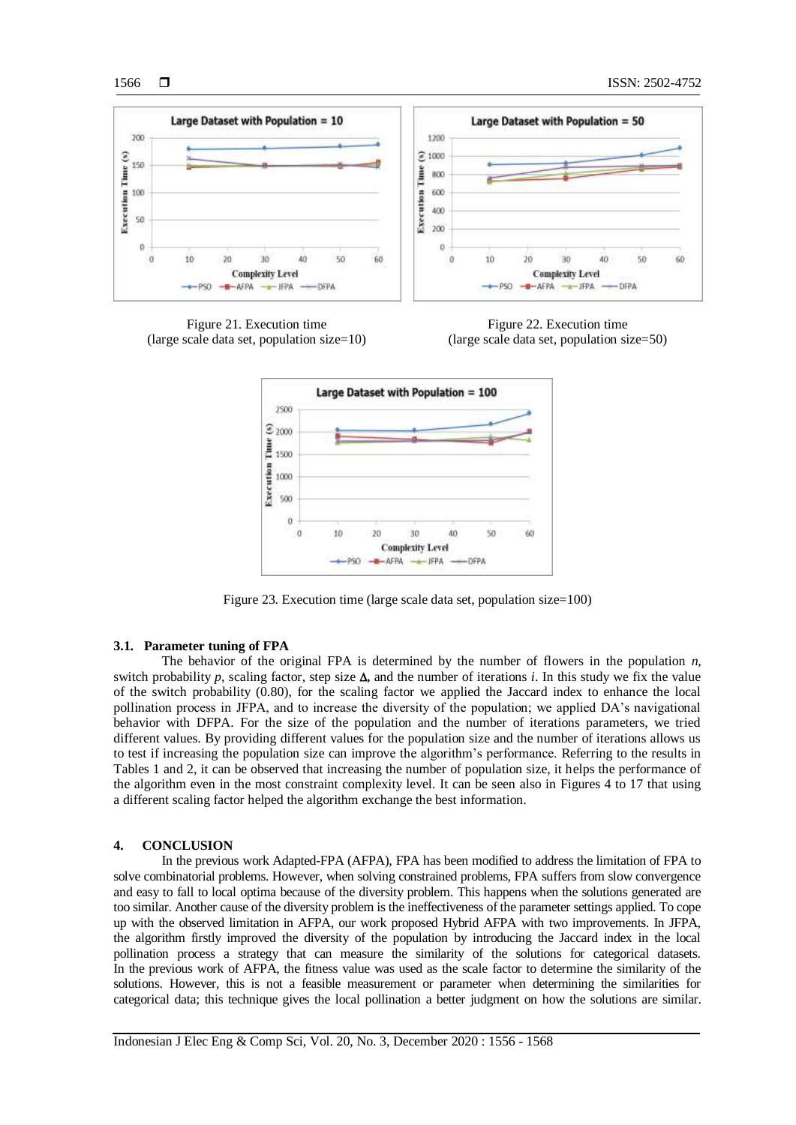

Figure 21. Execution time (large scale data set, population size=10)

Figure 22. Execution time (large scale data set, population size=50)



Figure 23. Execution time (large scale data set, population size=100)

#### **3.1. Parameter tuning of FPA**

The behavior of the original FPA is determined by the number of flowers in the population *n*, switch probability  $p$ , scaling factor, step size  $\Delta$ , and the number of iterations *i*. In this study we fix the value of the switch probability (0.80), for the scaling factor we applied the Jaccard index to enhance the local pollination process in JFPA, and to increase the diversity of the population; we applied DA's navigational behavior with DFPA. For the size of the population and the number of iterations parameters, we tried different values. By providing different values for the population size and the number of iterations allows us to test if increasing the population size can improve the algorithm's performance. Referring to the results in Tables 1 and 2, it can be observed that increasing the number of population size, it helps the performance of the algorithm even in the most constraint complexity level. It can be seen also in Figures 4 to 17 that using a different scaling factor helped the algorithm exchange the best information.

#### **4. CONCLUSION**

In the previous work Adapted-FPA (AFPA), FPA has been modified to address the limitation of FPA to solve combinatorial problems. However, when solving constrained problems, FPA suffers from slow convergence and easy to fall to local optima because of the diversity problem. This happens when the solutions generated are too similar. Another cause of the diversity problem is the ineffectiveness of the parameter settings applied. To cope up with the observed limitation in AFPA, our work proposed Hybrid AFPA with two improvements. In JFPA, the algorithm firstly improved the diversity of the population by introducing the Jaccard index in the local pollination process a strategy that can measure the similarity of the solutions for categorical datasets. In the previous work of AFPA, the fitness value was used as the scale factor to determine the similarity of the solutions. However, this is not a feasible measurement or parameter when determining the similarities for categorical data; this technique gives the local pollination a better judgment on how the solutions are similar.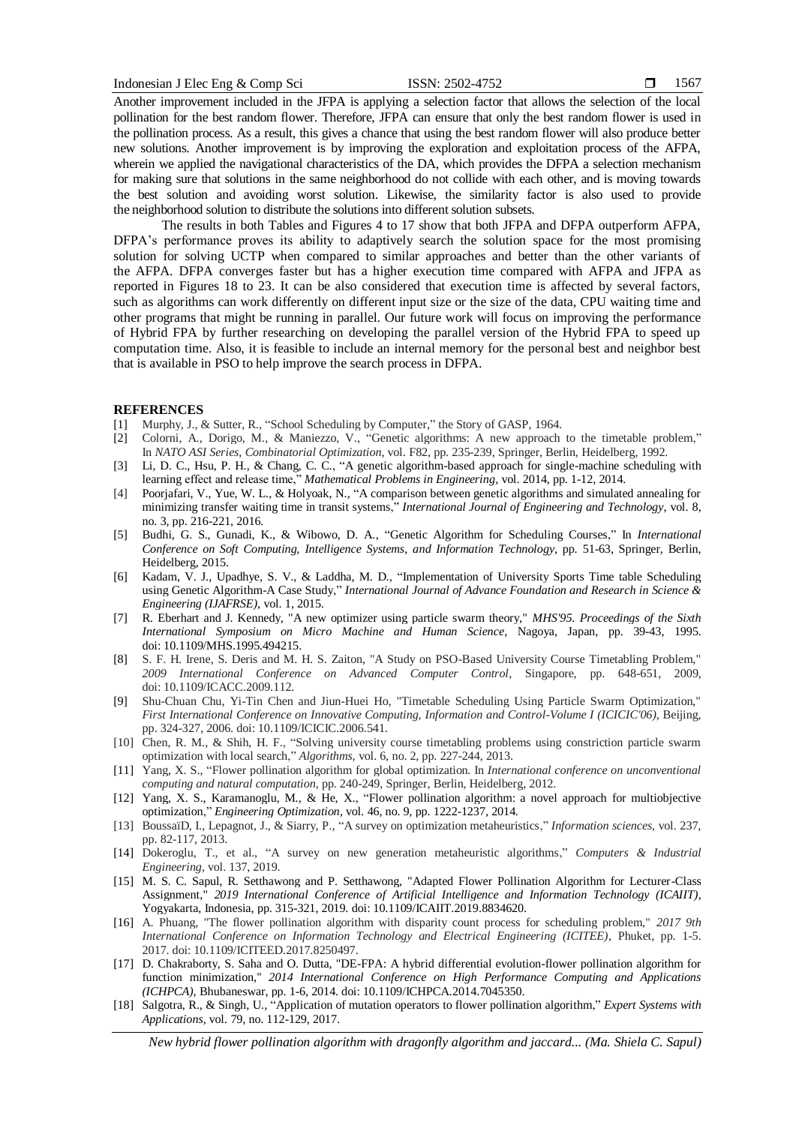### Indonesian J Elec Eng & Comp Sci ISSN: 2502-4752

Another improvement included in the JFPA is applying a selection factor that allows the selection of the local pollination for the best random flower. Therefore, JFPA can ensure that only the best random flower is used in the pollination process. As a result, this gives a chance that using the best random flower will also produce better new solutions. Another improvement is by improving the exploration and exploitation process of the AFPA, wherein we applied the navigational characteristics of the DA, which provides the DFPA a selection mechanism for making sure that solutions in the same neighborhood do not collide with each other, and is moving towards the best solution and avoiding worst solution. Likewise, the similarity factor is also used to provide the neighborhood solution to distribute the solutions into different solution subsets.

The results in both Tables and Figures 4 to 17 show that both JFPA and DFPA outperform AFPA, DFPA's performance proves its ability to adaptively search the solution space for the most promising solution for solving UCTP when compared to similar approaches and better than the other variants of the AFPA. DFPA converges faster but has a higher execution time compared with AFPA and JFPA as reported in Figures 18 to 23. It can be also considered that execution time is affected by several factors, such as algorithms can work differently on different input size or the size of the data, CPU waiting time and other programs that might be running in parallel. Our future work will focus on improving the performance of Hybrid FPA by further researching on developing the parallel version of the Hybrid FPA to speed up computation time. Also, it is feasible to include an internal memory for the personal best and neighbor best that is available in PSO to help improve the search process in DFPA.

#### **REFERENCES**

- [1] Murphy, J., & Sutter, R., "School Scheduling by Computer," the Story of GASP, 1964.
- [2] Colorni, A., Dorigo, M., & Maniezzo, V., "Genetic algorithms: A new approach to the timetable problem," In *NATO ASI Series*, *Combinatorial Optimization*, vol. F82, pp. 235-239, Springer, Berlin, Heidelberg, 1992.
- [3] Li, D. C., Hsu, P. H., & Chang, C. C., "A genetic algorithm-based approach for single-machine scheduling with learning effect and release time," *Mathematical Problems in Engineering,* vol. 2014, pp. 1-12, 2014.
- [4] Poorjafari, V., Yue, W. L., & Holyoak, N., "A comparison between genetic algorithms and simulated annealing for minimizing transfer waiting time in transit systems," *International Journal of Engineering and Technology*, vol. 8, no. 3, pp. 216-221, 2016.
- [5] Budhi, G. S., Gunadi, K., & Wibowo, D. A., "Genetic Algorithm for Scheduling Courses," In *International Conference on Soft Computing, Intelligence Systems, and Information Technology*, pp. 51-63, Springer, Berlin, Heidelberg, 2015.
- [6] Kadam, V. J., Upadhye, S. V., & Laddha, M. D., "Implementation of University Sports Time table Scheduling using Genetic Algorithm-A Case Study," *International Journal of Advance Foundation and Research in Science & Engineering (IJAFRSE),* vol. 1, 2015.
- [7] R. Eberhart and J. Kennedy, "A new optimizer using particle swarm theory," *MHS'95. Proceedings of the Sixth International Symposium on Micro Machine and Human Science*, Nagoya, Japan, pp. 39-43, 1995. doi: 10.1109/MHS.1995.494215.
- [8] S. F. H. Irene, S. Deris and M. H. S. Zaiton, "A Study on PSO-Based University Course Timetabling Problem," *2009 International Conference on Advanced Computer Control*, Singapore, pp. 648-651, 2009, doi: 10.1109/ICACC.2009.112.
- [9] Shu-Chuan Chu, Yi-Tin Chen and Jiun-Huei Ho, "Timetable Scheduling Using Particle Swarm Optimization," *First International Conference on Innovative Computing, Information and Control-Volume I (ICICIC'06)*, Beijing, pp. 324-327, 2006. doi: 10.1109/ICICIC.2006.541.
- [10] Chen, R. M., & Shih, H. F., "Solving university course timetabling problems using constriction particle swarm optimization with local search," *Algorithms*, vol. 6, no. 2, pp. 227-244, 2013.
- [11] Yang, X. S., "Flower pollination algorithm for global optimization. In *International conference on unconventional computing and natural computation,* pp. 240-249, Springer, Berlin, Heidelberg, 2012.
- [12] Yang, X. S., Karamanoglu, M., & He, X., "Flower pollination algorithm: a novel approach for multiobjective optimization," *Engineering Optimization*, vol. 46, no. 9, pp. 1222-1237, 2014.
- [13] BoussaïD, I., Lepagnot, J., & Siarry, P., "A survey on optimization metaheuristics," *Information sciences*, vol. 237, pp. 82-117, 2013.
- [14] Dokeroglu, T., et al., "A survey on new generation metaheuristic algorithms," *Computers & Industrial Engineering*, vol. 137, 2019.
- [15] M. S. C. Sapul, R. Setthawong and P. Setthawong, "Adapted Flower Pollination Algorithm for Lecturer-Class Assignment," *2019 International Conference of Artificial Intelligence and Information Technology (ICAIIT)*, Yogyakarta, Indonesia, pp. 315-321, 2019. doi: 10.1109/ICAIIT.2019.8834620.
- [16] A. Phuang, "The flower pollination algorithm with disparity count process for scheduling problem," *2017 9th International Conference on Information Technology and Electrical Engineering (ICITEE)*, Phuket, pp. 1-5. 2017. doi: 10.1109/ICITEED.2017.8250497.
- [17] D. Chakraborty, S. Saha and O. Dutta, "DE-FPA: A hybrid differential evolution-flower pollination algorithm for function minimization," *2014 International Conference on High Performance Computing and Applications (ICHPCA)*, Bhubaneswar, pp. 1-6, 2014. doi: 10.1109/ICHPCA.2014.7045350.
- [18] Salgotra, R., & Singh, U., "Application of mutation operators to flower pollination algorithm," *Expert Systems with Applications*, vol. 79, no. 112-129, 2017.

*New hybrid flower pollination algorithm with dragonfly algorithm and jaccard... (Ma. Shiela C. Sapul)*